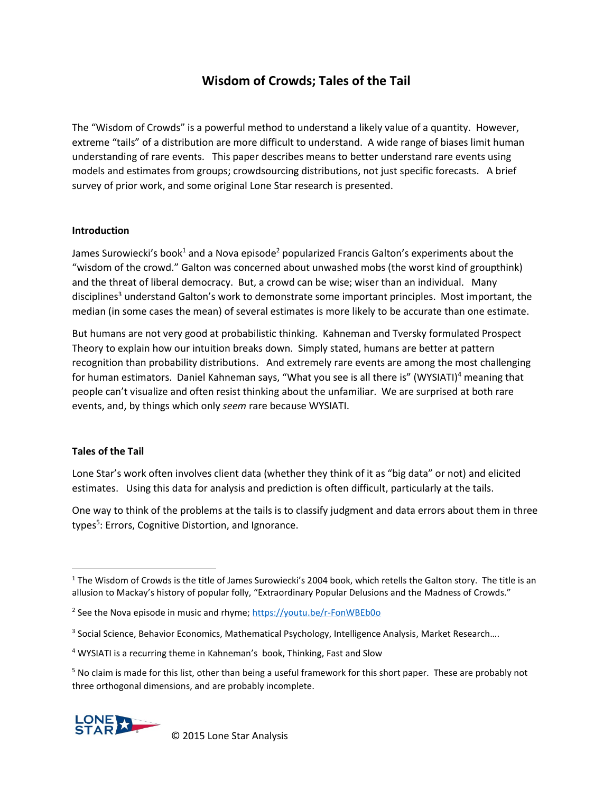# **Wisdom of Crowds; Tales of the Tail**

The "Wisdom of Crowds" is a powerful method to understand a likely value of a quantity. However, extreme "tails" of a distribution are more difficult to understand. A wide range of biases limit human understanding of rare events. This paper describes means to better understand rare events using models and estimates from groups; crowdsourcing distributions, not just specific forecasts. A brief survey of prior work, and some original Lone Star research is presented.

### **Introduction**

James Surowiecki's book<sup>1</sup> and a Nova episode<sup>2</sup> popularized Francis Galton's experiments about the "wisdom of the crowd." Galton was concerned about unwashed mobs (the worst kind of groupthink) and the threat of liberal democracy. But, a crowd can be wise; wiser than an individual. Many disciplines<sup>3</sup> understand Galton's work to demonstrate some important principles. Most important, the median (in some cases the mean) of several estimates is more likely to be accurate than one estimate.

But humans are not very good at probabilistic thinking. Kahneman and Tversky formulated Prospect Theory to explain how our intuition breaks down. Simply stated, humans are better at pattern recognition than probability distributions. And extremely rare events are among the most challenging for human estimators. Daniel Kahneman says, "What you see is all there is" (WYSIATI)<sup>4</sup> meaning that people can't visualize and often resist thinking about the unfamiliar. We are surprised at both rare events, and, by things which only *seem* rare because WYSIATI.

# **Tales of the Tail**

Lone Star's work often involves client data (whether they think of it as "big data" or not) and elicited estimates. Using this data for analysis and prediction is often difficult, particularly at the tails.

One way to think of the problems at the tails is to classify judgment and data errors about them in three types<sup>5</sup>: Errors, Cognitive Distortion, and Ignorance.

 $5$  No claim is made for this list, other than being a useful framework for this short paper. These are probably not three orthogonal dimensions, and are probably incomplete.



 $\overline{\phantom{a}}$  $1$  The Wisdom of Crowds is the title of James Surowiecki's 2004 book, which retells the Galton story. The title is an allusion to Mackay's history of popular folly, "Extraordinary Popular Delusions and the Madness of Crowds."

<sup>&</sup>lt;sup>2</sup> See the Nova episode in music and rhyme;<https://youtu.be/r-FonWBEb0o>

<sup>&</sup>lt;sup>3</sup> Social Science, Behavior Economics, Mathematical Psychology, Intelligence Analysis, Market Research....

<sup>4</sup> WYSIATI is a recurring theme in Kahneman's book, Thinking, Fast and Slow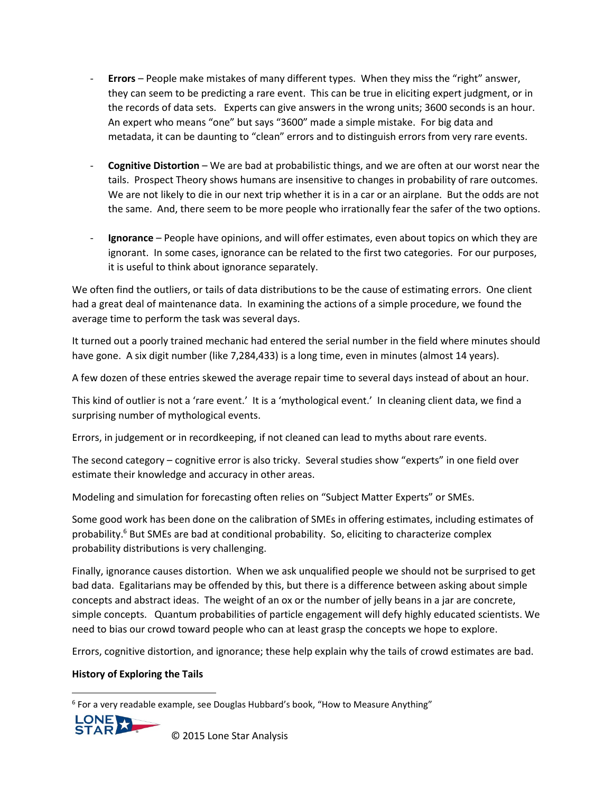- **Errors** People make mistakes of many different types. When they miss the "right" answer, they can seem to be predicting a rare event. This can be true in eliciting expert judgment, or in the records of data sets. Experts can give answers in the wrong units; 3600 seconds is an hour. An expert who means "one" but says "3600" made a simple mistake. For big data and metadata, it can be daunting to "clean" errors and to distinguish errors from very rare events.
- **Cognitive Distortion** We are bad at probabilistic things, and we are often at our worst near the tails. Prospect Theory shows humans are insensitive to changes in probability of rare outcomes. We are not likely to die in our next trip whether it is in a car or an airplane. But the odds are not the same. And, there seem to be more people who irrationally fear the safer of the two options.
- **Ignorance**  People have opinions, and will offer estimates, even about topics on which they are ignorant. In some cases, ignorance can be related to the first two categories. For our purposes, it is useful to think about ignorance separately.

We often find the outliers, or tails of data distributions to be the cause of estimating errors. One client had a great deal of maintenance data. In examining the actions of a simple procedure, we found the average time to perform the task was several days.

It turned out a poorly trained mechanic had entered the serial number in the field where minutes should have gone. A six digit number (like 7,284,433) is a long time, even in minutes (almost 14 years).

A few dozen of these entries skewed the average repair time to several days instead of about an hour.

This kind of outlier is not a 'rare event.' It is a 'mythological event.' In cleaning client data, we find a surprising number of mythological events.

Errors, in judgement or in recordkeeping, if not cleaned can lead to myths about rare events.

The second category – cognitive error is also tricky. Several studies show "experts" in one field over estimate their knowledge and accuracy in other areas.

Modeling and simulation for forecasting often relies on "Subject Matter Experts" or SMEs.

Some good work has been done on the calibration of SMEs in offering estimates, including estimates of probability.<sup>6</sup> But SMEs are bad at conditional probability. So, eliciting to characterize complex probability distributions is very challenging.

Finally, ignorance causes distortion. When we ask unqualified people we should not be surprised to get bad data. Egalitarians may be offended by this, but there is a difference between asking about simple concepts and abstract ideas. The weight of an ox or the number of jelly beans in a jar are concrete, simple concepts. Quantum probabilities of particle engagement will defy highly educated scientists. We need to bias our crowd toward people who can at least grasp the concepts we hope to explore.

Errors, cognitive distortion, and ignorance; these help explain why the tails of crowd estimates are bad.

# **History of Exploring the Tails**

<sup>6</sup> For a very readable example, see Douglas Hubbard's book, "How to Measure Anything"



l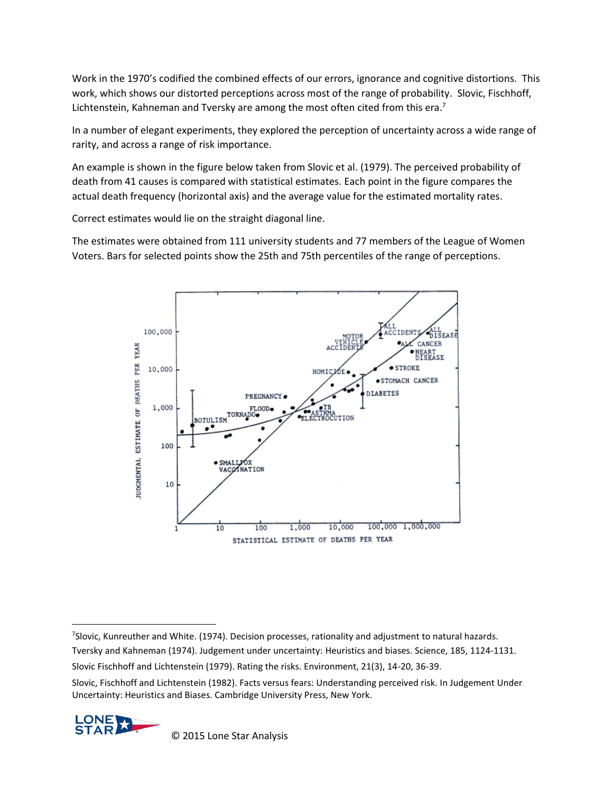Work in the 1970's codified the combined effects of our errors, ignorance and cognitive distortions. This work, which shows our distorted perceptions across most of the range of probability. Slovic, Fischhoff, Lichtenstein, Kahneman and Tversky are among the most often cited from this era.<sup>7</sup>

In a number of elegant experiments, they explored the perception of uncertainty across a wide range of rarity, and across a range of risk importance.

An example is shown in the figure below taken from Slovic et al. (1979). The perceived probability of death from 41 causes is compared with statistical estimates. Each point in the figure compares the actual death frequency (horizontal axis) and the average value for the estimated mortality rates.

Correct estimates would lie on the straight diagonal line.

The estimates were obtained from 111 university students and 77 members of the League of Women Voters. Bars for selected points show the 25th and 75th percentiles of the range of perceptions.



Slovic, Fischhoff and Lichtenstein (1982). Facts versus fears: Understanding perceived risk. In Judgement Under Uncertainty: Heuristics and Biases. Cambridge University Press, New York.



 $\overline{\phantom{a}}$ 

<sup>7</sup> Slovic, Kunreuther and White. (1974). Decision processes, rationality and adjustment to natural hazards. Tversky and Kahneman (1974). Judgement under uncertainty: Heuristics and biases. Science, 185, 1124-1131. Slovic Fischhoff and Lichtenstein (1979). Rating the risks. Environment, 21(3), 14-20, 36-39.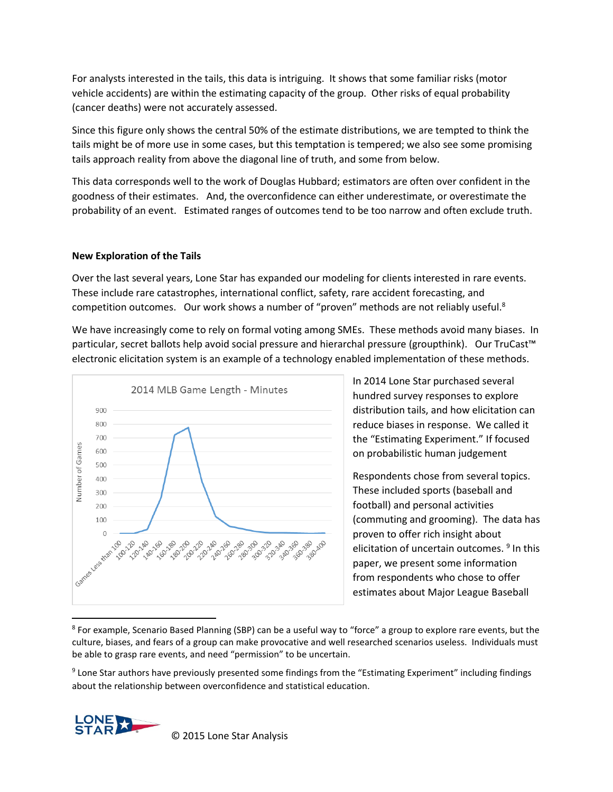For analysts interested in the tails, this data is intriguing. It shows that some familiar risks (motor vehicle accidents) are within the estimating capacity of the group. Other risks of equal probability (cancer deaths) were not accurately assessed.

Since this figure only shows the central 50% of the estimate distributions, we are tempted to think the tails might be of more use in some cases, but this temptation is tempered; we also see some promising tails approach reality from above the diagonal line of truth, and some from below.

This data corresponds well to the work of Douglas Hubbard; estimators are often over confident in the goodness of their estimates. And, the overconfidence can either underestimate, or overestimate the probability of an event. Estimated ranges of outcomes tend to be too narrow and often exclude truth.

#### **New Exploration of the Tails**

Over the last several years, Lone Star has expanded our modeling for clients interested in rare events. These include rare catastrophes, international conflict, safety, rare accident forecasting, and competition outcomes. Our work shows a number of "proven" methods are not reliably useful.<sup>8</sup>

We have increasingly come to rely on formal voting among SMEs. These methods avoid many biases. In particular, secret ballots help avoid social pressure and hierarchal pressure (groupthink). Our TruCast™ electronic elicitation system is an example of a technology enabled implementation of these methods.



In 2014 Lone Star purchased several hundred survey responses to explore distribution tails, and how elicitation can reduce biases in response. We called it the "Estimating Experiment." If focused on probabilistic human judgement

Respondents chose from several topics. These included sports (baseball and football) and personal activities (commuting and grooming). The data has proven to offer rich insight about elicitation of uncertain outcomes. <sup>9</sup> In this paper, we present some information from respondents who chose to offer estimates about Major League Baseball

<sup>8</sup> For example, Scenario Based Planning (SBP) can be a useful way to "force" a group to explore rare events, but the culture, biases, and fears of a group can make provocative and well researched scenarios useless. Individuals must be able to grasp rare events, and need "permission" to be uncertain.

<sup>9</sup> Lone Star authors have previously presented some findings from the "Estimating Experiment" including findings about the relationship between overconfidence and statistical education.

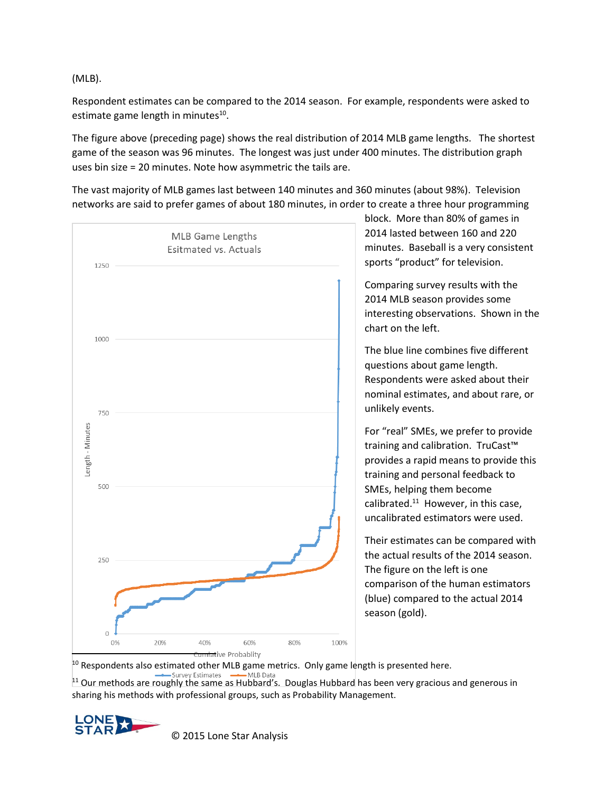(MLB).

Respondent estimates can be compared to the 2014 season. For example, respondents were asked to estimate game length in minutes<sup>10</sup>.

The figure above (preceding page) shows the real distribution of 2014 MLB game lengths. The shortest game of the season was 96 minutes. The longest was just under 400 minutes. The distribution graph uses bin size = 20 minutes. Note how asymmetric the tails are.

The vast majority of MLB games last between 140 minutes and 360 minutes (about 98%). Television networks are said to prefer games of about 180 minutes, in order to create a three hour programming



block. More than 80% of games in 2014 lasted between 160 and 220 minutes. Baseball is a very consistent sports "product" for television.

Comparing survey results with the 2014 MLB season provides some interesting observations. Shown in the chart on the left.

The blue line combines five different questions about game length. Respondents were asked about their nominal estimates, and about rare, or unlikely events.

For "real" SMEs, we prefer to provide training and calibration. TruCast<sup>™</sup> provides a rapid means to provide this training and personal feedback to SMEs, helping them become calibrated.<sup>11</sup> However, in this case, uncalibrated estimators were used.

Their estimates can be compared with the actual results of the 2014 season. The figure on the left is one comparison of the human estimators (blue) compared to the actual 2014 season (gold).

10 Respondents also estimated other MLB game metrics. Only game length is presented here.

 $11$  Our methods are roughly the same as Hubbard's. Douglas Hubbard has been very gracious and generous in sharing his methods with professional groups, such as Probability Management.

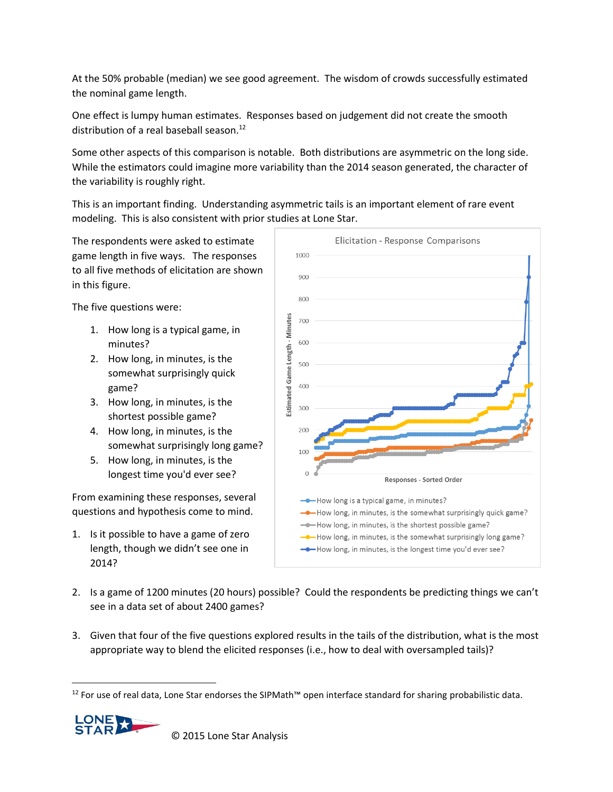At the 50% probable (median) we see good agreement. The wisdom of crowds successfully estimated the nominal game length.

One effect is lumpy human estimates. Responses based on judgement did not create the smooth distribution of a real baseball season.<sup>12</sup>

Some other aspects of this comparison is notable. Both distributions are asymmetric on the long side. While the estimators could imagine more variability than the 2014 season generated, the character of the variability is roughly right.

This is an important finding. Understanding asymmetric tails is an important element of rare event modeling. This is also consistent with prior studies at Lone Star.

The respondents were asked to estimate game length in five ways. The responses to all five methods of elicitation are shown in this figure.

The five questions were:

- 1. How long is a typical game, in minutes?
- 2. How long, in minutes, is the somewhat surprisingly quick game?
- 3. How long, in minutes, is the shortest possible game?
- 4. How long, in minutes, is the somewhat surprisingly long game?
- 5. How long, in minutes, is the longest time you'd ever see?

From examining these responses, several questions and hypothesis come to mind.

1. Is it possible to have a game of zero length, though we didn't see one in 2014?



- 2. Is a game of 1200 minutes (20 hours) possible? Could the respondents be predicting things we can't see in a data set of about 2400 games?
- 3. Given that four of the five questions explored results in the tails of the distribution, what is the most appropriate way to blend the elicited responses (i.e., how to deal with oversampled tails)?

<sup>&</sup>lt;sup>12</sup> For use of real data, Lone Star endorses the SIPMath™ open interface standard for sharing probabilistic data.



 $\overline{a}$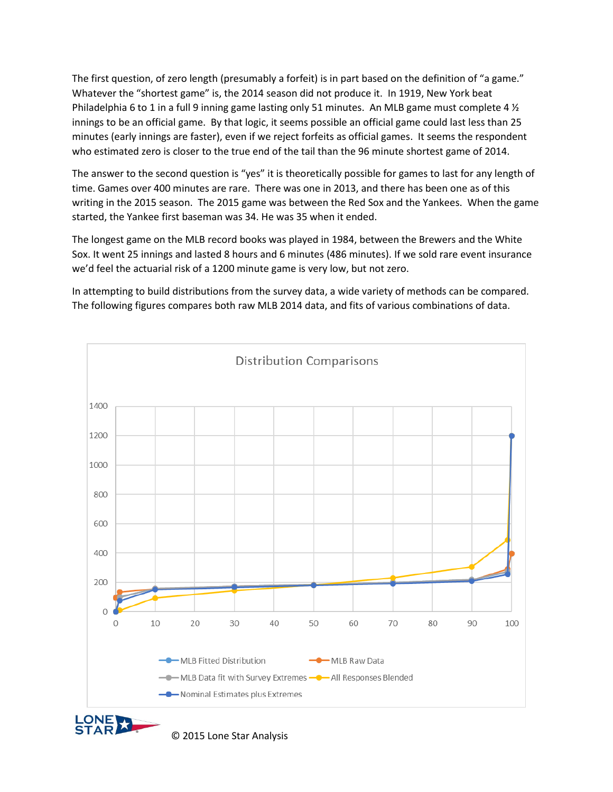The first question, of zero length (presumably a forfeit) is in part based on the definition of "a game." Whatever the "shortest game" is, the 2014 season did not produce it. In 1919, New York beat Philadelphia 6 to 1 in a full 9 inning game lasting only 51 minutes. An MLB game must complete 4 ½ innings to be an official game. By that logic, it seems possible an official game could last less than 25 minutes (early innings are faster), even if we reject forfeits as official games. It seems the respondent who estimated zero is closer to the true end of the tail than the 96 minute shortest game of 2014.

The answer to the second question is "yes" it is theoretically possible for games to last for any length of time. Games over 400 minutes are rare. There was one in 2013, and there has been one as of this writing in the 2015 season. The 2015 game was between the Red Sox and the Yankees. When the game started, the Yankee first baseman was 34. He was 35 when it ended.

The longest game on the MLB record books was played in 1984, between the Brewers and the White Sox. It went 25 innings and lasted 8 hours and 6 minutes (486 minutes). If we sold rare event insurance we'd feel the actuarial risk of a 1200 minute game is very low, but not zero.

In attempting to build distributions from the survey data, a wide variety of methods can be compared. The following figures compares both raw MLB 2014 data, and fits of various combinations of data.

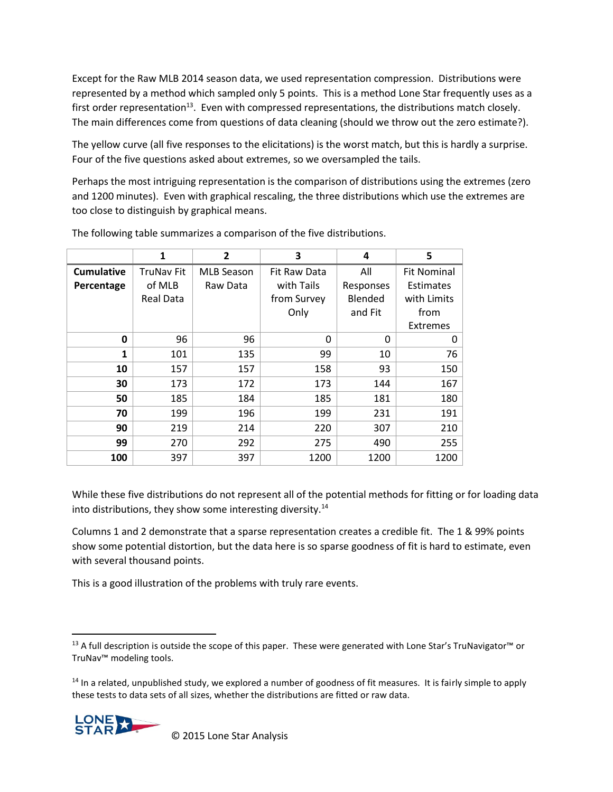Except for the Raw MLB 2014 season data, we used representation compression. Distributions were represented by a method which sampled only 5 points. This is a method Lone Star frequently uses as a first order representation<sup>13</sup>. Even with compressed representations, the distributions match closely. The main differences come from questions of data cleaning (should we throw out the zero estimate?).

The yellow curve (all five responses to the elicitations) is the worst match, but this is hardly a surprise. Four of the five questions asked about extremes, so we oversampled the tails.

Perhaps the most intriguing representation is the comparison of distributions using the extremes (zero and 1200 minutes). Even with graphical rescaling, the three distributions which use the extremes are too close to distinguish by graphical means.

|                   | 1                | $\overline{2}$    | 3            | 4         | 5                  |
|-------------------|------------------|-------------------|--------------|-----------|--------------------|
| <b>Cumulative</b> | TruNav Fit       | <b>MLB Season</b> | Fit Raw Data | All       | <b>Fit Nominal</b> |
| Percentage        | of MLB           | Raw Data          | with Tails   | Responses | Estimates          |
|                   | <b>Real Data</b> |                   | from Survey  | Blended   | with Limits        |
|                   |                  |                   | Only         | and Fit   | from               |
|                   |                  |                   |              |           | <b>Extremes</b>    |
| 0                 | 96               | 96                | $\Omega$     | 0         | 0                  |
| 1                 | 101              | 135               | 99           | 10        | 76                 |
| 10                | 157              | 157               | 158          | 93        | 150                |
| 30                | 173              | 172               | 173          | 144       | 167                |
| 50                | 185              | 184               | 185          | 181       | 180                |
| 70                | 199              | 196               | 199          | 231       | 191                |
| 90                | 219              | 214               | 220          | 307       | 210                |
| 99                | 270              | 292               | 275          | 490       | 255                |
| 100               | 397              | 397               | 1200         | 1200      | 1200               |

The following table summarizes a comparison of the five distributions.

While these five distributions do not represent all of the potential methods for fitting or for loading data into distributions, they show some interesting diversity. $14$ 

Columns 1 and 2 demonstrate that a sparse representation creates a credible fit. The 1 & 99% points show some potential distortion, but the data here is so sparse goodness of fit is hard to estimate, even with several thousand points.

This is a good illustration of the problems with truly rare events.

 $14$  In a related, unpublished study, we explored a number of goodness of fit measures. It is fairly simple to apply these tests to data sets of all sizes, whether the distributions are fitted or raw data.



 $\overline{\phantom{a}}$ 

<sup>&</sup>lt;sup>13</sup> A full description is outside the scope of this paper. These were generated with Lone Star's TruNavigator<sup>™</sup> or TruNav™ modeling tools.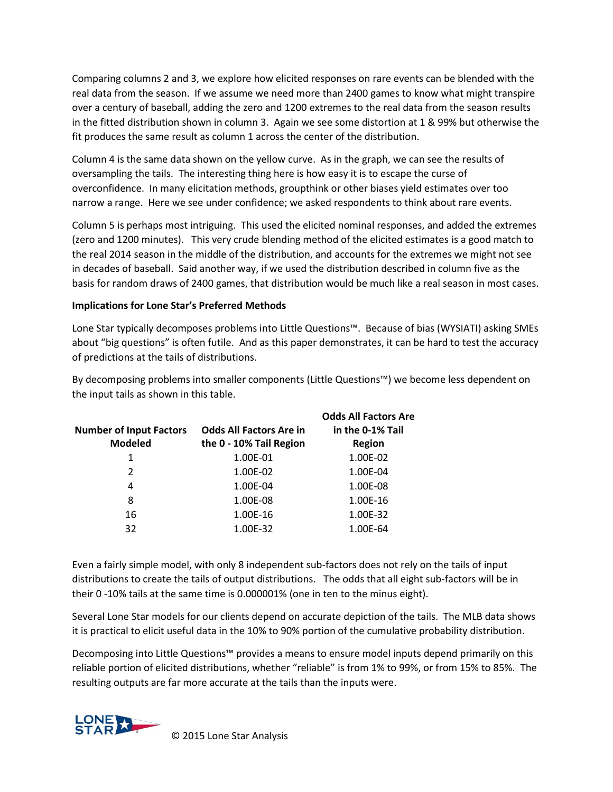Comparing columns 2 and 3, we explore how elicited responses on rare events can be blended with the real data from the season. If we assume we need more than 2400 games to know what might transpire over a century of baseball, adding the zero and 1200 extremes to the real data from the season results in the fitted distribution shown in column 3. Again we see some distortion at 1 & 99% but otherwise the fit produces the same result as column 1 across the center of the distribution.

Column 4 is the same data shown on the yellow curve. As in the graph, we can see the results of oversampling the tails. The interesting thing here is how easy it is to escape the curse of overconfidence. In many elicitation methods, groupthink or other biases yield estimates over too narrow a range. Here we see under confidence; we asked respondents to think about rare events.

Column 5 is perhaps most intriguing. This used the elicited nominal responses, and added the extremes (zero and 1200 minutes). This very crude blending method of the elicited estimates is a good match to the real 2014 season in the middle of the distribution, and accounts for the extremes we might not see in decades of baseball. Said another way, if we used the distribution described in column five as the basis for random draws of 2400 games, that distribution would be much like a real season in most cases.

# **Implications for Lone Star's Preferred Methods**

Lone Star typically decomposes problems into Little Questions™. Because of bias (WYSIATI) asking SMEs about "big questions" is often futile. And as this paper demonstrates, it can be hard to test the accuracy of predictions at the tails of distributions.

By decomposing problems into smaller components (Little Questions™) we become less dependent on the input tails as shown in this table.

| <b>Number of Input Factors</b><br><b>Modeled</b> | <b>Odds All Factors Are in</b><br>the 0 - 10% Tail Region | <b>Odds All Factors Are</b><br>in the 0-1% Tail<br><b>Region</b> |
|--------------------------------------------------|-----------------------------------------------------------|------------------------------------------------------------------|
| 1                                                | 1.00E-01                                                  | 1.00E-02                                                         |
| 2                                                | 1.00E-02                                                  | 1.00E-04                                                         |
| 4                                                | 1.00E-04                                                  | 1.00E-08                                                         |
| 8                                                | 1.00E-08                                                  | 1.00E-16                                                         |
| 16                                               | 1.00E-16                                                  | 1.00E-32                                                         |
| 32                                               | 1.00E-32                                                  | 1.00E-64                                                         |

Even a fairly simple model, with only 8 independent sub-factors does not rely on the tails of input distributions to create the tails of output distributions. The odds that all eight sub-factors will be in their 0 -10% tails at the same time is 0.000001% (one in ten to the minus eight).

Several Lone Star models for our clients depend on accurate depiction of the tails. The MLB data shows it is practical to elicit useful data in the 10% to 90% portion of the cumulative probability distribution.

Decomposing into Little Questions™ provides a means to ensure model inputs depend primarily on this reliable portion of elicited distributions, whether "reliable" is from 1% to 99%, or from 15% to 85%. The resulting outputs are far more accurate at the tails than the inputs were.